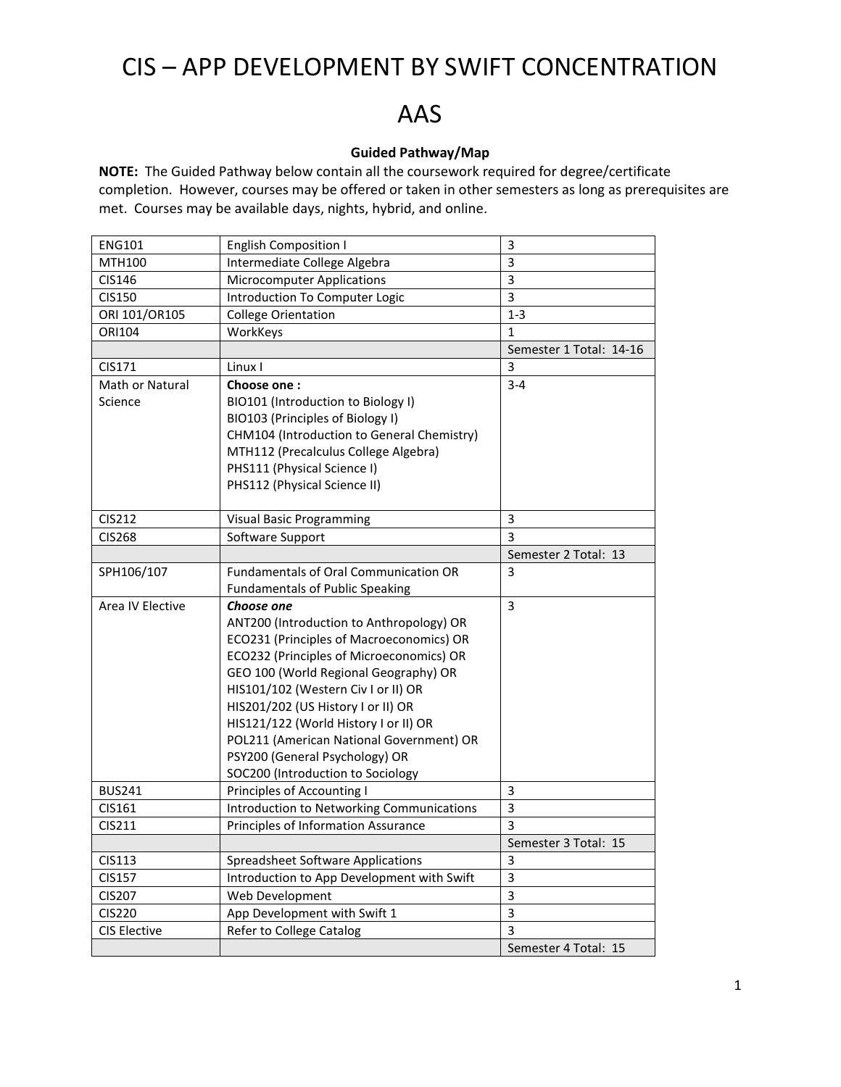## CIS – APP DEVELOPMENT BY SWIFT CONCENTRATION

## AAS

## **Guided Pathway/Map**

**NOTE:** The Guided Pathway below contain all the coursework required for degree/certificate completion. However, courses may be offered or taken in other semesters as long as prerequisites are met. Courses may be available days, nights, hybrid, and online.

| <b>ENG101</b>          | <b>English Composition I</b>                 | 3                       |
|------------------------|----------------------------------------------|-------------------------|
| MTH100                 | Intermediate College Algebra                 | 3                       |
| CIS146                 | <b>Microcomputer Applications</b>            | 3                       |
| <b>CIS150</b>          | Introduction To Computer Logic               | 3                       |
| ORI 101/OR105          | <b>College Orientation</b>                   | $1 - 3$                 |
| ORI104                 | WorkKeys                                     | 1                       |
|                        |                                              | Semester 1 Total: 14-16 |
| CIS171                 | Linux I                                      | 3                       |
| <b>Math or Natural</b> | Choose one:                                  | $3 - 4$                 |
| Science                | BIO101 (Introduction to Biology I)           |                         |
|                        | BIO103 (Principles of Biology I)             |                         |
|                        | CHM104 (Introduction to General Chemistry)   |                         |
|                        | MTH112 (Precalculus College Algebra)         |                         |
|                        | PHS111 (Physical Science I)                  |                         |
|                        | PHS112 (Physical Science II)                 |                         |
|                        |                                              |                         |
| <b>CIS212</b>          | <b>Visual Basic Programming</b>              | 3                       |
| <b>CIS268</b>          | Software Support                             | 3                       |
|                        |                                              | Semester 2 Total: 13    |
| SPH106/107             | <b>Fundamentals of Oral Communication OR</b> | 3                       |
|                        | <b>Fundamentals of Public Speaking</b>       |                         |
| Area IV Elective       | Choose one                                   | 3                       |
|                        | ANT200 (Introduction to Anthropology) OR     |                         |
|                        | ECO231 (Principles of Macroeconomics) OR     |                         |
|                        | ECO232 (Principles of Microeconomics) OR     |                         |
|                        | GEO 100 (World Regional Geography) OR        |                         |
|                        | HIS101/102 (Western Civ I or II) OR          |                         |
|                        | HIS201/202 (US History I or II) OR           |                         |
|                        | HIS121/122 (World History I or II) OR        |                         |
|                        | POL211 (American National Government) OR     |                         |
|                        | PSY200 (General Psychology) OR               |                         |
|                        | SOC200 (Introduction to Sociology            |                         |
| <b>BUS241</b>          | Principles of Accounting I                   | 3                       |
| CIS161                 | Introduction to Networking Communications    | 3                       |
| CIS211                 | Principles of Information Assurance          | $\overline{3}$          |
|                        |                                              | Semester 3 Total: 15    |
| <b>CIS113</b>          | <b>Spreadsheet Software Applications</b>     | 3                       |
| <b>CIS157</b>          | Introduction to App Development with Swift   | 3                       |
| <b>CIS207</b>          | Web Development                              | 3                       |
| <b>CIS220</b>          | App Development with Swift 1                 | 3                       |
| CIS Elective           | Refer to College Catalog                     | 3                       |
|                        |                                              | Semester 4 Total: 15    |